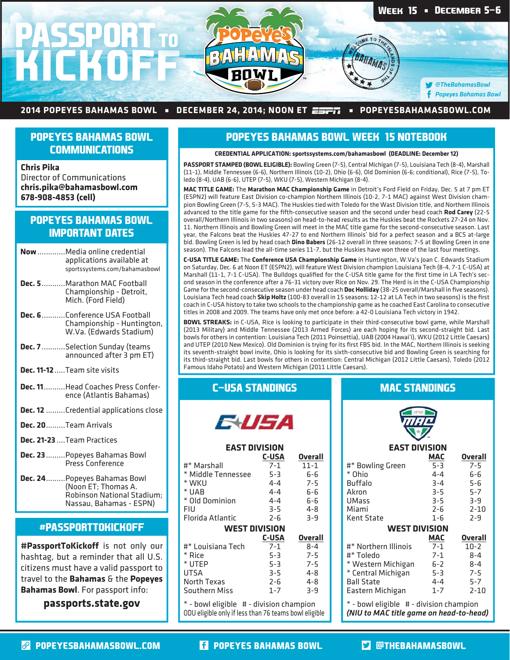

#### 2014 POPEYES BAHAMAS BOWL • DECEMBER 24, 2014; NOON ET  $\overline{\text{exp}}$  • POPEYESBAHAMASBOWL.COM

## **POPEYES BAHAMAS BOWL COMMUNICATIONS**

**Chris Pika** Director of Communications **chris.pika@bahamasbowl.com 678-908-4853 (cell)**

# **POPEYES BAHAMAS BOWL IMPORTANT DATES**

- **Now** .............Media online credential applications available at sportssystems.com/bahamasbowl
- **Dec. 5** ...........Marathon MAC Football Championship - Detroit, Mich. (Ford Field)
- **Dec. 6** ...........Conference USA Football Championship - Huntington, W.Va. (Edwards Stadium)
- **Dec. 7** ...........Selection Sunday (teams announced after 3 pm ET)
- **Dec. 11-12** .....Team site visits
- **Dec. 11** ..........Head Coaches Press Conference (Atlantis Bahamas)
- **Dec. 12** .........Credential applications close
- **Dec. 20** .........Team Arrivals
- **Dec. 21-23** ....Team Practices
- **Dec. 23** .........Popeyes Bahamas Bowl Press Conference
- **Dec. 24** .........Popeyes Bahamas Bowl (Noon ET; Thomas A. Robinson National Stadium; Nassau, Bahamas - ESPN)

## **#PASSPORTTOKICKOFF**

**#PassportToKickoff** is not only our hashtag, but a reminder that all U.S. citizens must have a valid passport to travel to the **Bahamas** & the **Popeyes Bahamas Bowl**. For passport info:

**passports.state.gov**

## **POPEYES BAHAMAS BOWL WEEK 15 NOTEBOOK**

#### **CREDENTIAL APPLICATION: sportssystems.com/bahamasbowl (DEADLINE: December 12)**

**PASSPORT STAMPED (BOWL ELIGIBLE):** Bowling Green (7-5), Central Michigan (7-5), Louisiana Tech (8-4), Marshall (11-1), Middle Tennessee (6-6), Northern Illinois (10-2), Ohio (6-6), Old Dominion (6-6; conditional), Rice (7-5), Toledo (8-4), UAB (6-6), UTEP (7-5), WKU (7-5), Western Michigan (8-4).

**MAC TITLE GAME:** The **Marathon MAC Championship Game** in Detroit's Ford Field on Friday, Dec. 5 at 7 pm ET (ESPN2) will feature East Division co-champion Northern Illinois (10-2, 7-1 MAC) against West Division champion Bowling Green (7-5, 5-3 MAC). The Huskies tied with Toledo for the Wast Division title, and Northern Illinois advanced to the title game for the fifth-consecutive season and the second under head coach Rod Carey (22-5 overall/Northern Illinois in two seasons) on head-to-head results as the Huskies beat the Rockets 27-24 on Nov. 11. Northern Illinois and Bowling Green will meet in the MAC title game for the second-consecutive season. Last year, the Falcons beat the Huskies 47-27 to end Northern Illinois' bid for a perfect season and a BCS at-large bid. Bowling Green is led by head coach **Dino Babers** (26-12 overall in three seasons; 7-5 at Bowling Green in one season). The Falcons lead the all-time series 11-7, but the Huskies have won three of the last four meetings.

**C-USA TITLE GAME:** The **Conference USA Championship Game** in Huntington, W.Va's Joan C. Edwards Stadium on Saturday, Dec. 6 at Noon ET (ESPN2), will feature West Division champion Louisiana Tech (8-4, 7-1 C-USA) at Marshall (11-1, 7-1 C-USA). The Bulldogs qualified for the C-USA title game for the first time in LA Tech's second season in the conference after a 76-31 victory over Rice on Nov. 29. The Herd is in the C-USA Championship Game for the second-consecutive season under head coach Doc Holliday (38-25 overall/Marshall in five seasons). Louisiana Tech head coach Skip Holtz (100-83 overall in 15 seasons; 12-12 at LA Tech in two seasons) is the first coach in C-USA history to take two schools to the championship game as he coached East Carolina to consecutive titles in 2008 and 2009. The teams have only met once before: a 42-0 Louisiana Tech victory in 1942.

**BOWL STREAKS:** in C-USA, Rice is looking to participate in their third-consecutive bowl game, while Marshall (2013 Military) and Middle Tennessee (2013 Armed Forces) are each hoping for its second-straight bid. Last bowls for others in contention: Louisiana Tech (2011 Poinsettia), UAB (2004 Hawai'i), WKU (2012 Little Caesars) and UTEP (2010 New Mexico). Old Dominion is trying for its first FBS bid. In the MAC, Northern Illinois is seeking its seventh-straight bowl invite, Ohio is looking for its sixth-consecutive bid and Bowling Green is searching for its third-straight bid. Last bowls for others in contention: Central Michigan (2012 Little Caesars), Toledo (2012 Famous Idaho Potato) and Western Michigan (2011 Little Caesars).

## **C-USA STANDINGS**

**EAST DIVISION**

EVEA

#\* Marshall 7-1 11-1  $*$  Middle Tennessee  $5-3$  6-6<br> $*$  WKU 4-4 7-5

 $*$  UAB  $4-4$  6-6<br> $*$  Old Dominion  $4-4$  6-6  $*$  Old Dominion  $4-4$  6-6<br>FIU  $3-5$  4-8 FIU 3-5 4-8 Florida Atlantic 2-6 3-9 **WEST DIVISION**

#\* Louisiana Tech 7-1 8-4 \* Rice 5-3 7-5 \* UTEP 5-3 7-5<br>UTSA 3-5 4-8 UTSA 3-5 4-8 North Texas 2-6 4-8

\* - bowl eligible # - division champion ODU eligible only if less than 76 teams bowl eligible

 $*$  WKU  $4-4$ <br> $*$  UAR  $4-4$ 

Southern Miss

**C-USA Overall**<br>7-1 **11-1** 

 **C-USA Overall**

# **MAC STANDINGS**



#### **EAST DIVISION**

|                      | MAC        | <b>Overall</b> |
|----------------------|------------|----------------|
| #* Bowling Green     | $5 - 3$    | $7 - 5$        |
| * Ohio               | $4 - 4$    | 6-6            |
| Buffalo              | $3 - 4$    | 5-6            |
| Akron                | $3 - 5$    | $5 - 7$        |
| <b>UMass</b>         | $3 - 5$    | $3 - 9$        |
| Miami                | $2 - 6$    | $2 - 10$       |
| Kent State           | $1 - 6$    | $7 - 9$        |
| <b>WEST DIVISION</b> |            |                |
|                      |            |                |
|                      | <b>MAC</b> | <b>Overall</b> |
| #* Northern Illinois | $7 - 1$    | $10-2$         |
| #* Toledo            | $7 - 1$    | $8 - 4$        |
| * Western Michigan   | $6-2$      | $8 - 4$        |
| * Central Michigan   | $5 - 3$    | $7 - 5$        |
| Ball State           | $4 - 4$    | $5 - 7$        |
| Eastern Michigan     | $1 - 7$    | $2 - 10$       |

\* - bowl eligible # - division champion *(NIU to MAC title game on head-to-head)*

**POPEYESBAHAMASBOWL.COM POPEYES BAHAMAS BOWL @THEBAHAMASBOWL**